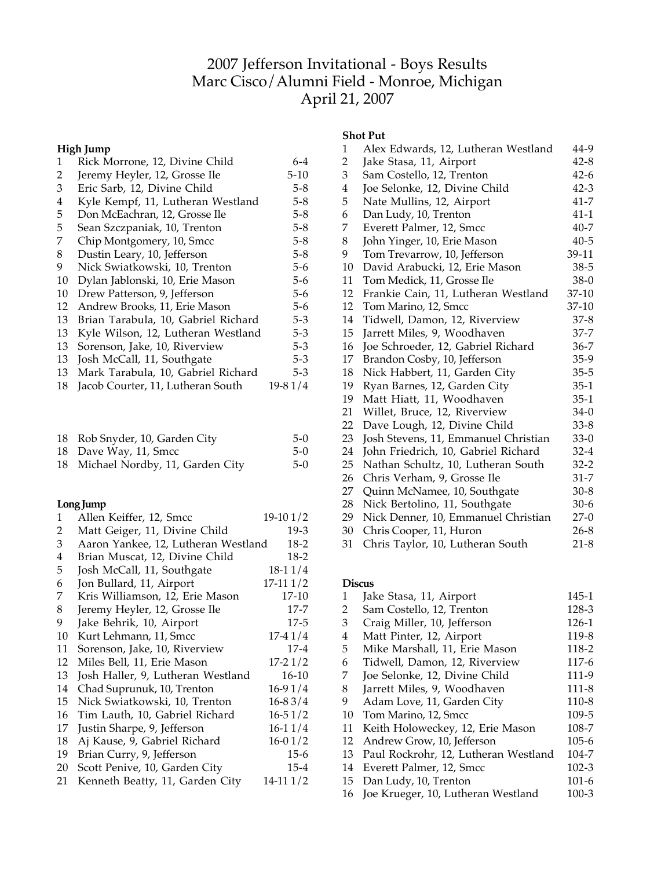# Jefferson Invitational - Boys Results Marc Cisco/Alumni Field - Monroe, Michigan April 21, 2007

### **High Jump**

| 1  | Rick Morrone, 12, Divine Child      | 6-4       |
|----|-------------------------------------|-----------|
| 2  | Jeremy Heyler, 12, Grosse Ile       | $5-10$    |
| 3  | Eric Sarb, 12, Divine Child         | $5-8$     |
| 4  | Kyle Kempf, 11, Lutheran Westland   | $5-8$     |
| 5  | Don McEachran, 12, Grosse Ile       | $5-8$     |
| 5  | Sean Szczpaniak, 10, Trenton        | $5 - 8$   |
| 7  | Chip Montgomery, 10, Smcc           | $5 - 8$   |
| 8  | Dustin Leary, 10, Jefferson         | $5 - 8$   |
| 9  | Nick Swiatkowski, 10, Trenton       | 5-6       |
| 10 | Dylan Jablonski, 10, Erie Mason     | $5-6$     |
| 10 | Drew Patterson, 9, Jefferson        | $5-6$     |
| 12 | Andrew Brooks, 11, Erie Mason       | $5-6$     |
| 13 | Brian Tarabula, 10, Gabriel Richard | $5 - 3$   |
| 13 | Kyle Wilson, 12, Lutheran Westland  | $5 - 3$   |
| 13 | Sorenson, Jake, 10, Riverview       | $5-3$     |
| 13 | Josh McCall, 11, Southgate          | $5 - 3$   |
| 13 | Mark Tarabula, 10, Gabriel Richard  | $5 - 3$   |
| 18 | Jacob Courter, 11, Lutheran South   | $19-81/4$ |
|    |                                     |           |

| 18 Rob Snyder, 10, Garden City     | $5-0$ |
|------------------------------------|-------|
| 18 Dave Way, 11, Smcc              | $5-0$ |
| 18 Michael Nordby, 11, Garden City | $5-0$ |

### **LongJump**

| $\mathbf{1}$ | Allen Keiffer, 12, Smcc             | $19-101/2$  |
|--------------|-------------------------------------|-------------|
| 2            | Matt Geiger, 11, Divine Child       | 19-3        |
| 3            | Aaron Yankee, 12, Lutheran Westland | 18-2        |
| 4            | Brian Muscat, 12, Divine Child      | $18-2$      |
| 5            | Josh McCall, 11, Southgate          | $18-11/4$   |
| 6            | Jon Bullard, 11, Airport            | $17-111/2$  |
| 7            | Kris Williamson, 12, Erie Mason     | 17-10       |
| 8            | Jeremy Heyler, 12, Grosse Ile       | $17 - 7$    |
| 9            | Jake Behrik, 10, Airport            | $17 - 5$    |
| 10           | Kurt Lehmann, 11, Smcc              | $17-41/4$   |
| 11           | Sorenson, Jake, 10, Riverview       | $17 - 4$    |
| 12           | Miles Bell, 11, Erie Mason          | $17-21/2$   |
| 13           | Josh Haller, 9, Lutheran Westland   | $16-10$     |
| 14           | Chad Suprunuk, 10, Trenton          | $16-91/4$   |
| 15           | Nick Swiatkowski, 10, Trenton       | $16 - 83/4$ |
| 16           | Tim Lauth, 10, Gabriel Richard      | $16 - 51/2$ |
| 17           | Justin Sharpe, 9, Jefferson         | $16-11/4$   |
| 18           | Aj Kause, 9, Gabriel Richard        | $16 - 01/2$ |
| 19           | Brian Curry, 9, Jefferson           | $15 - 6$    |
| 20           | Scott Penive, 10, Garden City       | $15 - 4$    |
| 21           | Kenneth Beatty, 11, Garden City     | $14-111/2$  |
|              |                                     |             |

#### **Shot Put**

| 1              | Alex Edwards, 12, Lutheran Westland  | 44-9     |
|----------------|--------------------------------------|----------|
| $\overline{2}$ | Jake Stasa, 11, Airport              | $42 - 8$ |
| 3              | Sam Costello, 12, Trenton            | $42 - 6$ |
| $\overline{4}$ | Joe Selonke, 12, Divine Child        | $42 - 3$ |
| 5              | Nate Mullins, 12, Airport            | 41-7     |
| 6              | Dan Ludy, 10, Trenton                | $41 - 1$ |
| 7              | Everett Palmer, 12, Smcc             | $40 - 7$ |
| 8              | John Yinger, 10, Erie Mason          | $40 - 5$ |
| 9              | Tom Trevarrow, 10, Jefferson         | 39-11    |
| 10             | David Arabucki, 12, Erie Mason       | 38-5     |
| 11             | Tom Medick, 11, Grosse Ile           | 38-0     |
| 12             | Frankie Cain, 11, Lutheran Westland  | 37-10    |
| 12             | Tom Marino, 12, Smcc                 | 37-10    |
| 14             | Tidwell, Damon, 12, Riverview        | 37-8     |
| 15             | Jarrett Miles, 9, Woodhaven          | 37-7     |
| 16             | Joe Schroeder, 12, Gabriel Richard   | 36-7     |
| 17             | Brandon Cosby, 10, Jefferson         | 35-9     |
| 18             | Nick Habbert, 11, Garden City        | 35-5     |
| 19             | Ryan Barnes, 12, Garden City         | 35-1     |
| 19             | Matt Hiatt, 11, Woodhaven            | $35-1$   |
| 21             | Willet, Bruce, 12, Riverview         | 34-0     |
| 22             | Dave Lough, 12, Divine Child         | $33 - 8$ |
| 23             | Josh Stevens, 11, Emmanuel Christian | $33-0$   |
| 24             | John Friedrich, 10, Gabriel Richard  | $32 - 4$ |
| 25             | Nathan Schultz, 10, Lutheran South   | $32 - 2$ |
| 26             | Chris Verham, 9, Grosse Ile          | 31-7     |
| 27             | Quinn McNamee, 10, Southgate         | $30 - 8$ |
| 28             | Nick Bertolino, 11, Southgate        | $30-6$   |
| 29             | Nick Denner, 10, Emmanuel Christian  | $27-0$   |
| 30             | Chris Cooper, 11, Huron              | $26 - 8$ |
|                |                                      |          |

Chris Taylor, 10, Lutheran South 21-8

#### **Discus**

| 1  | Jake Stasa, 11, Airport              | 145-1     |
|----|--------------------------------------|-----------|
| 2  | Sam Costello, 12, Trenton            | 128-3     |
| 3  | Craig Miller, 10, Jefferson          | 126-1     |
| 4  | Matt Pinter, 12, Airport             | 119-8     |
| 5  | Mike Marshall, 11, Erie Mason        | 118-2     |
| 6  | Tidwell, Damon, 12, Riverview        | 117-6     |
| 7  | Joe Selonke, 12, Divine Child        | 111-9     |
| 8  | Jarrett Miles, 9, Woodhaven          | 111-8     |
| 9  | Adam Love, 11, Garden City           | $110-8$   |
| 10 | Tom Marino, 12, Smcc                 | 109-5     |
| 11 | Keith Holoweckey, 12, Erie Mason     | 108-7     |
| 12 | Andrew Grow, 10, Jefferson           | $105 - 6$ |
| 13 | Paul Rockrohr, 12, Lutheran Westland | 104-7     |
| 14 | Everett Palmer, 12, Smcc             | $102 - 3$ |
| 15 | Dan Ludy, 10, Trenton                | $101-6$   |
| 16 | Joe Krueger, 10, Lutheran Westland   | $100 - 3$ |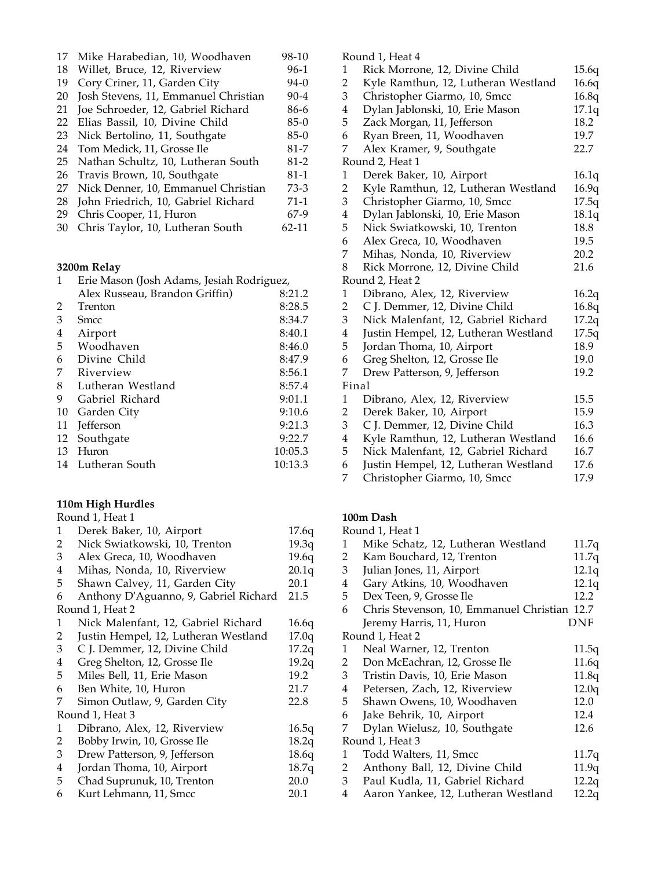| 17 | Mike Harabedian, 10, Woodhaven       | 98-10    |
|----|--------------------------------------|----------|
| 18 | Willet, Bruce, 12, Riverview         | $96-1$   |
| 19 | Cory Criner, 11, Garden City         | $94-0$   |
| 20 | Josh Stevens, 11, Emmanuel Christian | $90 - 4$ |
| 21 | Joe Schroeder, 12, Gabriel Richard   | 86-6     |
| 22 | Elias Bassil, 10, Divine Child       | $85-0$   |
| 23 | Nick Bertolino, 11, Southgate        | $85-0$   |
| 24 | Tom Medick, 11, Grosse Ile           | $81 - 7$ |
| 25 | Nathan Schultz, 10, Lutheran South   | $81 - 2$ |
| 26 | Travis Brown, 10, Southgate          | $81 - 1$ |
| 27 | Nick Denner, 10, Emmanuel Christian  | $73-3$   |
| 28 | John Friedrich, 10, Gabriel Richard  | $71-1$   |
| 29 | Chris Cooper, 11, Huron              | $67-9$   |
| 30 | Chris Taylor, 10, Lutheran South     | 62-11    |
|    |                                      |          |

## **3200m Relay**

|    | 3200m Relay                               |         |  |  |
|----|-------------------------------------------|---------|--|--|
| 1  | Erie Mason (Josh Adams, Jesiah Rodriguez, |         |  |  |
|    | Alex Russeau, Brandon Griffin)            | 8:21.2  |  |  |
| 2  | Trenton                                   | 8:28.5  |  |  |
| 3  | Smcc                                      | 8:34.7  |  |  |
| 4  | Airport                                   | 8:40.1  |  |  |
| 5  | Woodhaven                                 | 8:46.0  |  |  |
| 6  | Divine Child                              | 8:47.9  |  |  |
| 7  | Riverview                                 | 8:56.1  |  |  |
| 8  | Lutheran Westland                         | 8:57.4  |  |  |
| 9  | Gabriel Richard                           | 9:01.1  |  |  |
| 10 | Garden City                               | 9:10.6  |  |  |
| 11 | Jefferson                                 | 9:21.3  |  |  |
| 12 | Southgate                                 | 9:22.7  |  |  |
| 13 | Huron                                     | 10:05.3 |  |  |
| 14 | Lutheran South                            | 10:13.3 |  |  |

#### **110m High Hurdles**

|                | Round 1, Heat 1                       |       |
|----------------|---------------------------------------|-------|
| 1              | Derek Baker, 10, Airport              | 17.6q |
| 2              | Nick Swiatkowski, 10, Trenton         | 19.3q |
| 3              | Alex Greca, 10, Woodhaven             | 19.6q |
| 4              | Mihas, Nonda, 10, Riverview           | 20.1q |
| 5              | Shawn Calvey, 11, Garden City         | 20.1  |
| 6              | Anthony D'Aguanno, 9, Gabriel Richard | 21.5  |
|                | Round 1, Heat 2                       |       |
| 1              | Nick Malenfant, 12, Gabriel Richard   | 16.6q |
| 2              | Justin Hempel, 12, Lutheran Westland  | 17.0q |
| $\mathfrak{Z}$ | C J. Demmer, 12, Divine Child         | 17.2q |
| 4              | Greg Shelton, 12, Grosse Ile          | 19.2q |
| 5              | Miles Bell, 11, Erie Mason            | 19.2  |
| 6              | Ben White, 10, Huron                  | 21.7  |
| 7              | Simon Outlaw, 9, Garden City          | 22.8  |
|                | Round 1, Heat 3                       |       |
| 1              | Dibrano, Alex, 12, Riverview          | 16.5q |
| 2              | Bobby Irwin, 10, Grosse Ile           | 18.2q |
| 3              | Drew Patterson, 9, Jefferson          | 18.6q |
| 4              | Jordan Thoma, 10, Airport             | 18.7q |
| 5 <sup>1</sup> | Chad Suprunuk, 10, Trenton            | 20.0  |
| 6              | Kurt Lehmann, 11, Smcc                | 20.1  |
|                |                                       |       |

Round 1, Heat 4

|                | wana 1, i kat 1                      |       |
|----------------|--------------------------------------|-------|
| 1              | Rick Morrone, 12, Divine Child       | 15.6q |
| $\overline{2}$ | Kyle Ramthun, 12, Lutheran Westland  | 16.6q |
| 3              | Christopher Giarmo, 10, Smcc         | 16.8q |
| $\overline{4}$ | Dylan Jablonski, 10, Erie Mason      | 17.1q |
| 5              | Zack Morgan, 11, Jefferson           | 18.2  |
| 6              | Ryan Breen, 11, Woodhaven            | 19.7  |
| 7              | Alex Kramer, 9, Southgate            | 22.7  |
|                | Round 2, Heat 1                      |       |
| 1              | Derek Baker, 10, Airport             | 16.1q |
| $\overline{2}$ | Kyle Ramthun, 12, Lutheran Westland  | 16.9q |
| 3              | Christopher Giarmo, 10, Smcc         | 17.5q |
| 4              | Dylan Jablonski, 10, Erie Mason      | 18.1q |
| 5              | Nick Swiatkowski, 10, Trenton        | 18.8  |
| 6              | Alex Greca, 10, Woodhaven            | 19.5  |
| 7              | Mihas, Nonda, 10, Riverview          | 20.2  |
| 8              | Rick Morrone, 12, Divine Child       | 21.6  |
|                | Round 2, Heat 2                      |       |
| 1              | Dibrano, Alex, 12, Riverview         | 16.2q |
| $\overline{2}$ | C J. Demmer, 12, Divine Child        | 16.8q |
| 3              | Nick Malenfant, 12, Gabriel Richard  | 17.2q |
| $\overline{4}$ | Justin Hempel, 12, Lutheran Westland | 17.5q |
| 5              | Jordan Thoma, 10, Airport            | 18.9  |
| 6              | Greg Shelton, 12, Grosse Ile         | 19.0  |
| 7              | Drew Patterson, 9, Jefferson         | 19.2  |
| Final          |                                      |       |
| 1              | Dibrano, Alex, 12, Riverview         | 15.5  |
| $\overline{2}$ | Derek Baker, 10, Airport             | 15.9  |
| 3              | C J. Demmer, 12, Divine Child        | 16.3  |
| $\overline{4}$ | Kyle Ramthun, 12, Lutheran Westland  | 16.6  |
| 5              | Nick Malenfant, 12, Gabriel Richard  | 16.7  |
| 6              | Justin Hempel, 12, Lutheran Westland | 17.6  |
| 7              | Christopher Giarmo, 10, Smcc         | 17.9  |
|                |                                      |       |

### **100m Dash**

|                | Round 1, Heat 1                              |       |
|----------------|----------------------------------------------|-------|
| 1              | Mike Schatz, 12, Lutheran Westland           | 11.7q |
| 2              | Kam Bouchard, 12, Trenton                    | 11.7q |
| 3 <sup>1</sup> | Julian Jones, 11, Airport                    | 12.1q |
| 4              | Gary Atkins, 10, Woodhaven                   | 12.1q |
| 5              | Dex Teen, 9, Grosse Ile                      | 12.2  |
| 6              | Chris Stevenson, 10, Emmanuel Christian 12.7 |       |
|                | Jeremy Harris, 11, Huron                     | DNF   |
|                | Round 1, Heat 2                              |       |
| 1              | Neal Warner, 12, Trenton                     | 11.5q |
| 2              | Don McEachran, 12, Grosse Ile                | 11.6q |
| 3              | Tristin Davis, 10, Erie Mason                | 11.8q |
| 4              | Petersen, Zach, 12, Riverview                | 12.0q |
| 5              | Shawn Owens, 10, Woodhaven                   | 12.0  |
| 6              | Jake Behrik, 10, Airport                     | 12.4  |
| 7              | Dylan Wielusz, 10, Southgate                 | 12.6  |
|                | Round 1, Heat 3                              |       |
| 1              | Todd Walters, 11, Smcc                       | 11.7q |
| $2^{\circ}$    | Anthony Ball, 12, Divine Child               | 11.9q |
| 3              | Paul Kudla, 11, Gabriel Richard              | 12.2q |
| 4              | Aaron Yankee, 12, Lutheran Westland          | 12.2q |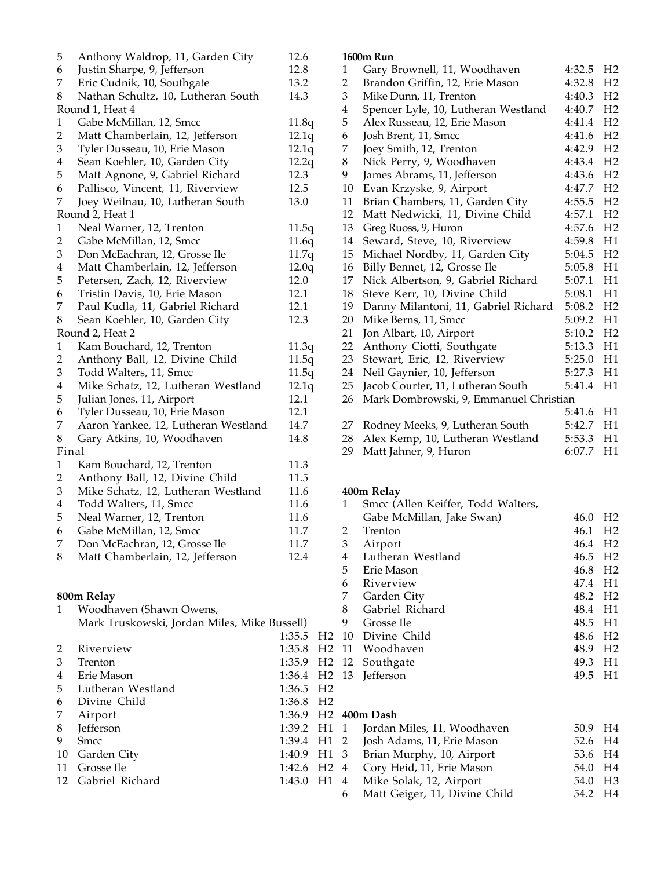|                                     | 12.6                                                                                                                                                                                                                                                                         |
|-------------------------------------|------------------------------------------------------------------------------------------------------------------------------------------------------------------------------------------------------------------------------------------------------------------------------|
| Justin Sharpe, 9, Jefferson         | 12.8                                                                                                                                                                                                                                                                         |
| Eric Cudnik, 10, Southgate          | 13.2                                                                                                                                                                                                                                                                         |
|                                     | 14.3                                                                                                                                                                                                                                                                         |
| Round 1, Heat 4                     |                                                                                                                                                                                                                                                                              |
| Gabe McMillan, 12, Smcc             | 11.8q                                                                                                                                                                                                                                                                        |
| Matt Chamberlain, 12, Jefferson     | 12.1q                                                                                                                                                                                                                                                                        |
| Tyler Dusseau, 10, Erie Mason       | 12.1q                                                                                                                                                                                                                                                                        |
| Sean Koehler, 10, Garden City       | 12.2q                                                                                                                                                                                                                                                                        |
| Matt Agnone, 9, Gabriel Richard     | 12.3                                                                                                                                                                                                                                                                         |
|                                     | 12.5                                                                                                                                                                                                                                                                         |
|                                     | 13.0                                                                                                                                                                                                                                                                         |
| Round 2, Heat 1                     |                                                                                                                                                                                                                                                                              |
| Neal Warner, 12, Trenton            | 11.5q                                                                                                                                                                                                                                                                        |
| Gabe McMillan, 12, Smcc             | 11.6q                                                                                                                                                                                                                                                                        |
| Don McEachran, 12, Grosse Ile       | 11.7q                                                                                                                                                                                                                                                                        |
| Matt Chamberlain, 12, Jefferson     | 12.0q                                                                                                                                                                                                                                                                        |
|                                     | 12.0                                                                                                                                                                                                                                                                         |
| Tristin Davis, 10, Erie Mason       | 12.1                                                                                                                                                                                                                                                                         |
| Paul Kudla, 11, Gabriel Richard     | 12.1                                                                                                                                                                                                                                                                         |
| Sean Koehler, 10, Garden City       | 12.3                                                                                                                                                                                                                                                                         |
| Round 2, Heat 2                     |                                                                                                                                                                                                                                                                              |
| Kam Bouchard, 12, Trenton           | 11.3q                                                                                                                                                                                                                                                                        |
|                                     | 11.5q                                                                                                                                                                                                                                                                        |
| Todd Walters, 11, Smcc              | 11.5q                                                                                                                                                                                                                                                                        |
| Mike Schatz, 12, Lutheran Westland  | 12.1q                                                                                                                                                                                                                                                                        |
| Julian Jones, 11, Airport           | 12.1                                                                                                                                                                                                                                                                         |
| Tyler Dusseau, 10, Erie Mason       | 12.1                                                                                                                                                                                                                                                                         |
| Aaron Yankee, 12, Lutheran Westland | 14.7                                                                                                                                                                                                                                                                         |
| Gary Atkins, 10, Woodhaven          | 14.8                                                                                                                                                                                                                                                                         |
| Final                               |                                                                                                                                                                                                                                                                              |
| Kam Bouchard, 12, Trenton           | 11.3                                                                                                                                                                                                                                                                         |
| Anthony Ball, 12, Divine Child      | 11.5                                                                                                                                                                                                                                                                         |
| Mike Schatz, 12, Lutheran Westland  | 11.6                                                                                                                                                                                                                                                                         |
|                                     | 11.6                                                                                                                                                                                                                                                                         |
| Neal Warner, 12, Trenton            | 11.6                                                                                                                                                                                                                                                                         |
| Gabe McMillan, 12, Smcc             | 11.7                                                                                                                                                                                                                                                                         |
|                                     | 11.7                                                                                                                                                                                                                                                                         |
| Matt Chamberlain, 12, Jefferson     | 12.4                                                                                                                                                                                                                                                                         |
|                                     | Anthony Waldrop, 11, Garden City<br>Nathan Schultz, 10, Lutheran South<br>Pallisco, Vincent, 11, Riverview<br>Joey Weilnau, 10, Lutheran South<br>Petersen, Zach, 12, Riverview<br>Anthony Ball, 12, Divine Child<br>Todd Walters, 11, Smcc<br>Don McEachran, 12, Grosse Ile |

## **800m Relay**

| 1  | Woodhaven (Shawn Owens,                      |                         |                |
|----|----------------------------------------------|-------------------------|----------------|
|    | Mark Truskowski, Jordan Miles, Mike Bussell) |                         |                |
|    |                                              | 1:35.5                  | H <sub>2</sub> |
| 2  | Riverview                                    | 1:35.8 H <sub>2</sub>   |                |
| 3  | Trenton                                      | 1:35.9                  | H <sub>2</sub> |
| 4  | Erie Mason                                   | 1:36.4 H <sub>2</sub>   |                |
| 5  | Lutheran Westland                            | $1:36.5$ H <sub>2</sub> |                |
| 6  | Divine Child                                 | $1:36.8$ H <sub>2</sub> |                |
| 7  | Airport                                      | 1:36.9 H <sub>2</sub>   |                |
| 8  | Jefferson                                    | $1:39.2$ H1             |                |
| 9  | <b>Smcc</b>                                  | 1:39.4                  | H1             |
| 10 | Garden City                                  | 1:40.9                  | H1             |
| 11 | Grosse Ile                                   | 1:42.6                  | H <sub>2</sub> |
| 12 | Gabriel Richard                              | 1:43.0                  | H1             |
|    |                                              |                         |                |
|    |                                              |                         |                |

#### **1600m Run**

| 1                       | Gary Brownell, 11, Woodhaven           | 4:32.5 | H <sub>2</sub> |
|-------------------------|----------------------------------------|--------|----------------|
| 2                       | Brandon Griffin, 12, Erie Mason        | 4:32.8 | H <sub>2</sub> |
| 3                       | Mike Dunn, 11, Trenton                 | 4:40.3 | H <sub>2</sub> |
| $\overline{\mathbf{4}}$ | Spencer Lyle, 10, Lutheran Westland    | 4:40.7 | H <sub>2</sub> |
| 5                       | Alex Russeau, 12, Erie Mason           | 4:41.4 | H <sub>2</sub> |
| 6                       | Josh Brent, 11, Smcc                   | 4:41.6 | H <sub>2</sub> |
| 7                       | Joey Smith, 12, Trenton                | 4:42.9 | H <sub>2</sub> |
| 8                       | Nick Perry, 9, Woodhaven               | 4:43.4 | H <sub>2</sub> |
| 9                       | James Abrams, 11, Jefferson            | 4:43.6 | H <sub>2</sub> |
| 10                      | Evan Krzyske, 9, Airport               | 4:47.7 | H <sub>2</sub> |
| 11                      | Brian Chambers, 11, Garden City        | 4:55.5 | H <sub>2</sub> |
| 12                      | Matt Nedwicki, 11, Divine Child        | 4:57.1 | H <sub>2</sub> |
| 13                      | Greg Ruoss, 9, Huron                   | 4:57.6 | H <sub>2</sub> |
| 14                      | Seward, Steve, 10, Riverview           | 4:59.8 | H1             |
| 15                      | Michael Nordby, 11, Garden City        | 5:04.5 | H <sub>2</sub> |
| 16                      | Billy Bennet, 12, Grosse Ile           | 5:05.8 | H1             |
| 17                      | Nick Albertson, 9, Gabriel Richard     | 5:07.1 | H1             |
| 18                      | Steve Kerr, 10, Divine Child           | 5:08.1 | H1             |
| 19                      | Danny Milantoni, 11, Gabriel Richard   | 5:08.2 | H <sub>2</sub> |
| 20                      | Mike Berns, 11, Smcc                   | 5:09.2 | H1             |
| 21                      | Jon Albart, 10, Airport                | 5:10.2 | H <sub>2</sub> |
| 22                      | Anthony Ciotti, Southgate              | 5:13.3 | H1             |
| 23                      | Stewart, Eric, 12, Riverview           | 5:25.0 | H1             |
| 24                      | Neil Gaynier, 10, Jefferson            | 5:27.3 | H1             |
| 25                      | Jacob Courter, 11, Lutheran South      | 5:41.4 | H1             |
| 26                      | Mark Dombrowski, 9, Emmanuel Christian |        |                |
|                         |                                        | 5:41.6 | H1             |
| 27                      | Rodney Meeks, 9, Lutheran South        | 5:42.7 | H1             |
| 28                      | Alex Kemp, 10, Lutheran Westland       | 5:53.3 | H1             |
| 29                      | Matt Jahner, 9, Huron                  | 6:07.7 | H1             |

## **400m Relay**

|                | 1  | Smcc (Allen Keiffer, Todd Walters, |                     |                |
|----------------|----|------------------------------------|---------------------|----------------|
|                |    | Gabe McMillan, Jake Swan)          | 46.0                | H <sub>2</sub> |
|                | 2  | Trenton                            | 46.1                | H <sub>2</sub> |
|                | 3  | Airport                            | 46.4 H <sub>2</sub> |                |
|                | 4  | Lutheran Westland                  | 46.5                | H <sub>2</sub> |
|                | 5. | Erie Mason                         | 46.8 H <sub>2</sub> |                |
|                | 6  | Riverview                          | 47.4                | - H1           |
|                | 7  | Garden City                        | 48.2 H <sub>2</sub> |                |
|                | 8  | Gabriel Richard                    | 48.4 H1             |                |
|                | 9  | Grosse Ile                         | 48.5                | - H1           |
| H2             | 10 | Divine Child                       | 48.6 H <sub>2</sub> |                |
| H <sub>2</sub> |    | 11 Woodhaven                       | 48.9                | H <sub>2</sub> |
|                |    | H <sub>2</sub> 12 Southgate        | 49.3                | H1             |
|                |    | H <sub>2</sub> 13 Jefferson        | 49.5                | H1             |
| <b>TTO</b>     |    |                                    |                     |                |

# **400m Dash**

|  | l 1 Jordan Miles, 11, Woodhaven | 50.9 H <sub>4</sub> |  |
|--|---------------------------------|---------------------|--|
|  | 1 2 Josh Adams, 11, Erie Mason  | 52.6 H4             |  |
|  | 1 3 Brian Murphy, 10, Airport   | 53.6 H4             |  |
|  | 2 4 Cory Heid, 11, Erie Mason   | 54.0 H4             |  |
|  | 4 Mike Solak, 12, Airport       | 54.0 H <sub>3</sub> |  |
|  | 6 Matt Geiger, 11, Divine Child | 54.2 H4             |  |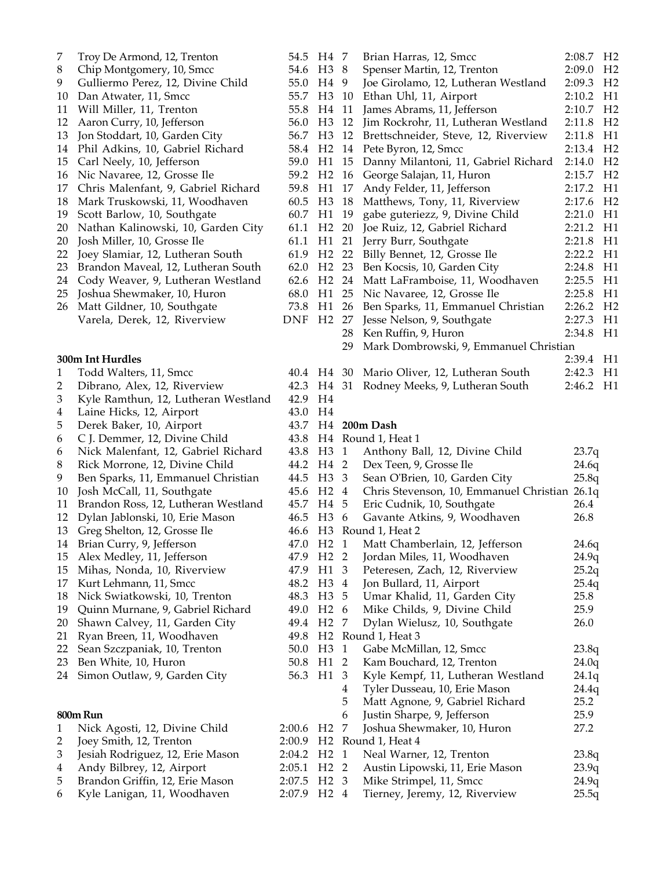| 7                       | Troy De Armond, 12, Trenton         | 54.5   | H4             |
|-------------------------|-------------------------------------|--------|----------------|
| 8                       | Chip Montgomery, 10, Smcc           | 54.6   | H <sub>3</sub> |
| 9                       | Gulliermo Perez, 12, Divine Child   | 55.0   | H <sub>4</sub> |
| 10                      | Dan Atwater, 11, Smcc               | 55.7   | H <sub>3</sub> |
| 11                      | Will Miller, 11, Trenton            | 55.8   | H <sub>4</sub> |
| 12                      | Aaron Curry, 10, Jefferson          | 56.0   | H <sub>3</sub> |
| 13                      | Jon Stoddart, 10, Garden City       | 56.7   | H <sub>3</sub> |
| 14                      | Phil Adkins, 10, Gabriel Richard    | 58.4   | H <sub>2</sub> |
| 15                      | Carl Neely, 10, Jefferson           | 59.0   | H1             |
| 16                      | Nic Navaree, 12, Grosse Ile         | 59.2   | H <sub>2</sub> |
| 17                      | Chris Malenfant, 9, Gabriel Richard | 59.8   | H1             |
| 18                      | Mark Truskowski, 11, Woodhaven      | 60.5   | H <sub>3</sub> |
| 19                      | Scott Barlow, 10, Southgate         | 60.7   | H1             |
| 20                      | Nathan Kalinowski, 10, Garden City  | 61.1   | H <sub>2</sub> |
| 20                      | Josh Miller, 10, Grosse Ile         | 61.1   | H1             |
| 22                      | Joey Slamiar, 12, Lutheran South    | 61.9   | H <sub>2</sub> |
| 23                      | Brandon Maveal, 12, Lutheran South  | 62.0   | H <sub>2</sub> |
| 24                      | Cody Weaver, 9, Lutheran Westland   | 62.6   | H <sub>2</sub> |
| 25                      | Joshua Shewmaker, 10, Huron         | 68.0   | H1             |
| 26                      | Matt Gildner, 10, Southgate         | 73.8   | H1             |
|                         | Varela, Derek, 12, Riverview        | DNF    | H <sub>2</sub> |
|                         |                                     |        |                |
|                         |                                     |        |                |
|                         | 300m Int Hurdles                    |        |                |
| 1                       | Todd Walters, 11, Smcc              | 40.4   | H <sub>4</sub> |
| $\overline{2}$          | Dibrano, Alex, 12, Riverview        | 42.3   | H <sub>4</sub> |
| 3                       | Kyle Ramthun, 12, Lutheran Westland | 42.9   | H <sub>4</sub> |
| 4                       | Laine Hicks, 12, Airport            | 43.0   | H <sub>4</sub> |
| 5                       | Derek Baker, 10, Airport            | 43.7   | H <sub>4</sub> |
| 6                       | C J. Demmer, 12, Divine Child       | 43.8   | H <sub>4</sub> |
| 6                       | Nick Malenfant, 12, Gabriel Richard | 43.8   | H <sub>3</sub> |
| 8                       | Rick Morrone, 12, Divine Child      | 44.2   | H <sub>4</sub> |
| 9                       | Ben Sparks, 11, Emmanuel Christian  | 44.5   | H3             |
| 10                      | Josh McCall, 11, Southgate          | 45.6   | H <sub>2</sub> |
| 11                      | Brandon Ross, 12, Lutheran Westland | 45.7   | H <sub>4</sub> |
| 12                      | Dylan Jablonski, 10, Erie Mason     | 46.5   | H <sub>3</sub> |
| 13                      | Greg Shelton, 12, Grosse Ile        | 46.6   | H <sub>3</sub> |
| 14                      | Brian Curry, 9, Jefferson           | 47.0   | H <sub>2</sub> |
| 15                      | Alex Medley, 11, Jefferson          | 47.9   | H <sub>2</sub> |
| 15                      | Mihas, Nonda, 10, Riverview         | 47.9   | H1             |
| 17                      | Kurt Lehmann, 11, Smcc              | 48.2   | H <sub>3</sub> |
| 18                      | Nick Swiatkowski, 10, Trenton       | 48.3   | H <sub>3</sub> |
| 19                      | Quinn Murnane, 9, Gabriel Richard   | 49.0   | H <sub>2</sub> |
| 20                      | Shawn Calvey, 11, Garden City       | 49.4   | H <sub>2</sub> |
| 21                      | Ryan Breen, 11, Woodhaven           | 49.8   | H <sub>2</sub> |
| 22                      | Sean Szczpaniak, 10, Trenton        | 50.0   | H <sub>3</sub> |
| 23                      | Ben White, 10, Huron                | 50.8   | H1             |
| 24                      | Simon Outlaw, 9, Garden City        | 56.3   | H1             |
|                         |                                     |        |                |
|                         | 800m Run                            |        |                |
| 1                       | Nick Agosti, 12, Divine Child       | 2:00.6 | H <sub>2</sub> |
| $\overline{2}$          | Joey Smith, 12, Trenton             | 2:00.9 | H <sub>2</sub> |
| 3                       | Jesiah Rodriguez, 12, Erie Mason    | 2:04.2 | H <sub>2</sub> |
| $\overline{\mathbf{4}}$ | Andy Bilbrey, 12, Airport           | 2:05.1 | H <sub>2</sub> |
| 5                       | Brandon Griffin, 12, Erie Mason     | 2:07.5 | H <sub>2</sub> |
| 6                       | Kyle Lanigan, 11, Woodhaven         | 2:07.9 | H <sub>2</sub> |
|                         |                                     |        |                |

| H4             | 7                       | Brian Harras, 12, Smcc                        | 2:08.7 | H <sub>2</sub> |
|----------------|-------------------------|-----------------------------------------------|--------|----------------|
| H3             | 8                       | Spenser Martin, 12, Trenton                   | 2:09.0 | H <sub>2</sub> |
| H <sub>4</sub> | 9                       | Joe Girolamo, 12, Lutheran Westland           | 2:09.3 | H <sub>2</sub> |
| H <sub>3</sub> | 10                      | Ethan Uhl, 11, Airport                        | 2:10.2 | H1             |
| H4             | 11                      | James Abrams, 11, Jefferson                   | 2:10.7 | H <sub>2</sub> |
| H <sub>3</sub> | 12                      | Jim Rockrohr, 11, Lutheran Westland           | 2:11.8 | H <sub>2</sub> |
| H <sub>3</sub> | 12                      | Brettschneider, Steve, 12, Riverview          | 2:11.8 | H1             |
| H <sub>2</sub> | 14                      | Pete Byron, 12, Smcc                          | 2:13.4 | H <sub>2</sub> |
| H1             | 15                      | Danny Milantoni, 11, Gabriel Richard          | 2:14.0 | H <sub>2</sub> |
| H <sub>2</sub> | 16                      | George Salajan, 11, Huron                     | 2:15.7 | H <sub>2</sub> |
| H1             | 17                      | Andy Felder, 11, Jefferson                    | 2:17.2 | H1             |
| H <sub>3</sub> | 18                      | Matthews, Tony, 11, Riverview                 | 2:17.6 | H <sub>2</sub> |
| H1             | 19                      | gabe guteriezz, 9, Divine Child               | 2:21.0 | H1             |
| H <sub>2</sub> | 20                      | Joe Ruiz, 12, Gabriel Richard                 | 2:21.2 | H1             |
| H1             | 21                      | Jerry Burr, Southgate                         | 2:21.8 | H1             |
| H <sub>2</sub> | 22                      | Billy Bennet, 12, Grosse Ile                  | 2:22.2 | H1             |
| H <sub>2</sub> | 23                      | Ben Kocsis, 10, Garden City                   | 2:24.8 | H1             |
| H <sub>2</sub> | 24                      | Matt LaFramboise, 11, Woodhaven               | 2:25.5 | H1             |
| H1             | 25                      | Nic Navaree, 12, Grosse Ile                   | 2:25.8 | H1             |
| H1             | 26                      | Ben Sparks, 11, Emmanuel Christian            | 2:26.2 | H <sub>2</sub> |
| H <sub>2</sub> | 27                      | Jesse Nelson, 9, Southgate                    | 2:27.3 | H1             |
|                | 28                      | Ken Ruffin, 9, Huron                          | 2:34.8 | H1             |
|                | 29                      | Mark Dombrowski, 9, Emmanuel Christian        |        |                |
|                |                         |                                               | 2:39.4 | H1             |
| H4             | 30                      | Mario Oliver, 12, Lutheran South              | 2:42.3 | H1             |
| H4             | 31                      | Rodney Meeks, 9, Lutheran South               | 2:46.2 | H1             |
| H4             |                         |                                               |        |                |
| H4             |                         |                                               |        |                |
| H4             |                         | 200m Dash                                     |        |                |
| H4             |                         | Round 1, Heat 1                               |        |                |
| H <sub>3</sub> | 1                       | Anthony Ball, 12, Divine Child                | 23.7q  |                |
| H4             | 2                       | Dex Teen, 9, Grosse Ile                       | 24.6q  |                |
| H3             | 3                       | Sean O'Brien, 10, Garden City                 | 25.8q  |                |
| H <sub>2</sub> | $\overline{4}$          | Chris Stevenson, 10, Emmanuel Christian 26.1q |        |                |
| H4             | 5                       | Eric Cudnik, 10, Southgate                    | 26.4   |                |
| H <sub>3</sub> | 6                       | Gavante Atkins, 9, Woodhaven                  | 26.8   |                |
| H <sub>3</sub> |                         | Round 1, Heat 2                               |        |                |
| H <sub>2</sub> | $\mathbf{1}$            | Matt Chamberlain, 12, Jefferson               | 24.6q  |                |
| H <sub>2</sub> | $\overline{2}$          | Jordan Miles, 11, Woodhaven                   | 24.9q  |                |
| H1             | 3 <sup>7</sup>          | Peteresen, Zach, 12, Riverview                | 25.2q  |                |
| H3             | $\overline{4}$          | Jon Bullard, 11, Airport                      | 25.4q  |                |
| H3 5           |                         | Umar Khalid, 11, Garden City                  | 25.8   |                |
| H <sub>2</sub> | 6                       | Mike Childs, 9, Divine Child                  | 25.9   |                |
| H <sub>2</sub> | 7                       | Dylan Wielusz, 10, Southgate                  | 26.0   |                |
| H <sub>2</sub> |                         | Round 1, Heat 3                               |        |                |
| H <sub>3</sub> | $\mathbf{1}$            | Gabe McMillan, 12, Smcc                       | 23.8q  |                |
| H1             | $\overline{2}$          | Kam Bouchard, 12, Trenton                     | 24.0q  |                |
| H1             | 3                       | Kyle Kempf, 11, Lutheran Westland             | 24.1q  |                |
|                | $\overline{\mathbf{4}}$ | Tyler Dusseau, 10, Erie Mason                 | 24.4q  |                |
|                | 5                       | Matt Agnone, 9, Gabriel Richard               | 25.2   |                |
|                | 6                       | Justin Sharpe, 9, Jefferson                   | 25.9   |                |
| H <sub>2</sub> | 7                       | Joshua Shewmaker, 10, Huron                   | 27.2   |                |
| H <sub>2</sub> |                         | Round 1, Heat 4                               |        |                |
| H <sub>2</sub> | $\mathbf{1}$            | Neal Warner, 12, Trenton                      | 23.8q  |                |
| H <sub>2</sub> | $\overline{2}$          | Austin Lipowski, 11, Erie Mason               | 23.9q  |                |
| H <sub>2</sub> | 3                       | Mike Strimpel, 11, Smcc                       | 24.9q  |                |
| H <sub>2</sub> | 4                       | Tierney, Jeremy, 12, Riverview                | 25.5q  |                |
|                |                         |                                               |        |                |